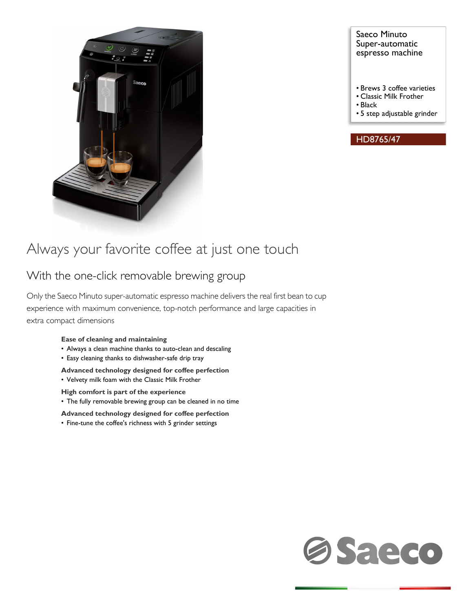

### Saeco Minuto Super-automatic espresso machine

- Brews 3 coffee varieties
- Classic Milk Frother
- Black
- 5 step adjustable grinder

### HD8765/47

# Always your favorite coffee at just one touch

## With the one-click removable brewing group

Only the Saeco Minuto super-automatic espresso machine delivers the real first bean to cup experience with maximum convenience, top-notch performance and large capacities in extra compact dimensions

### **Ease of cleaning and maintaining**

- Always a clean machine thanks to auto-clean and descaling
- Easy cleaning thanks to dishwasher-safe drip tray

**Advanced technology designed for coffee perfection** • Velvety milk foam with the Classic Milk Frother

- **High comfort is part of the experience**
- The fully removable brewing group can be cleaned in no time

**Advanced technology designed for coffee perfection**

• Fine-tune the coffee's richness with 5 grinder settings

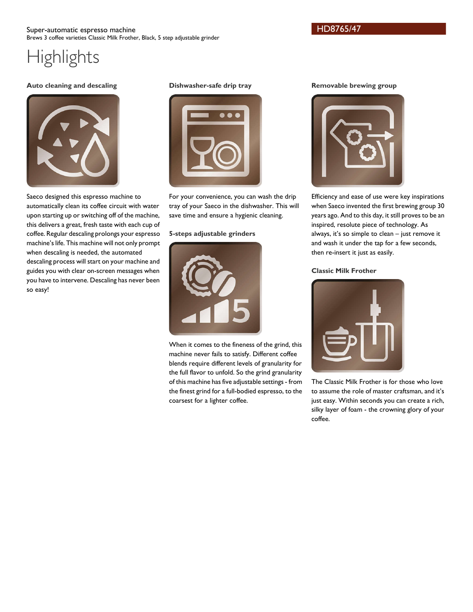### Super-automatic espresso machine Brews 3 coffee varieties Classic Milk Frother, Black, 5 step adjustable grinder

# **Highlights**

### **Auto cleaning and descaling**



Saeco designed this espresso machine to automatically clean its coffee circuit with water upon starting up or switching off of the machine, this delivers a great, fresh taste with each cup of coffee. Regular descaling prolongs your espresso machine's life. This machine will not only prompt when descaling is needed, the automated descaling process will start on your machine and guides you with clear on-screen messages when you have to intervene. Descaling has never been so easy!

### **Dishwasher-safe drip tray**



For your convenience, you can wash the drip tray of your Saeco in the dishwasher. This will save time and ensure a hygienic cleaning.

### **5-steps adjustable grinders**



When it comes to the fineness of the grind, this machine never fails to satisfy. Different coffee blends require different levels of granularity for the full flavor to unfold. So the grind granularity of this machine has five adjustable settings - from the finest grind for a full-bodied espresso, to the coarsest for a lighter coffee.

### **Removable brewing group**



Efficiency and ease of use were key inspirations when Saeco invented the first brewing group 30 years ago. And to this day, it still proves to be an inspired, resolute piece of technology. As always, it's so simple to clean – just remove it and wash it under the tap for a few seconds, then re-insert it just as easily.

### **Classic Milk Frother**



The Classic Milk Frother is for those who love to assume the role of master craftsman, and it's just easy. Within seconds you can create a rich, silky layer of foam - the crowning glory of your coffee.